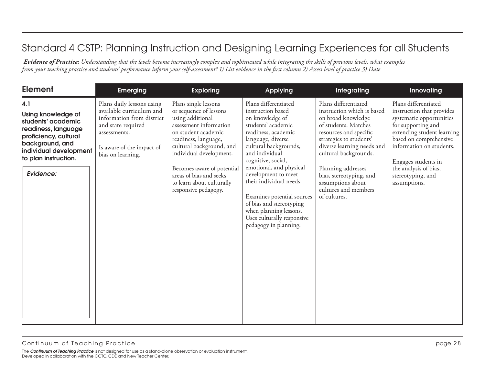| <b>Element</b>                                                                                                                                                                    | <b>Emerging</b>                                                                                                                                                            | <b>Exploring</b>                                                                                                                                                                                                                                                                                                 | Applying                                                                                                                                                                                                                                                                                                                                                                                                                | Integrating                                                                                                                                                                                                                                                                                                                | Innovating                                                                                                                                                                                                                                                                   |
|-----------------------------------------------------------------------------------------------------------------------------------------------------------------------------------|----------------------------------------------------------------------------------------------------------------------------------------------------------------------------|------------------------------------------------------------------------------------------------------------------------------------------------------------------------------------------------------------------------------------------------------------------------------------------------------------------|-------------------------------------------------------------------------------------------------------------------------------------------------------------------------------------------------------------------------------------------------------------------------------------------------------------------------------------------------------------------------------------------------------------------------|----------------------------------------------------------------------------------------------------------------------------------------------------------------------------------------------------------------------------------------------------------------------------------------------------------------------------|------------------------------------------------------------------------------------------------------------------------------------------------------------------------------------------------------------------------------------------------------------------------------|
| 4.1<br>Using knowledge of<br>students' academic<br>readiness, language<br>proficiency, cultural<br>background, and<br>individual development<br>to plan instruction.<br>Evidence: | Plans daily lessons using<br>available curriculum and<br>information from district<br>and state required<br>assessments.<br>Is aware of the impact of<br>bias on learning. | Plans single lessons<br>or sequence of lessons<br>using additional<br>assessment information<br>on student academic<br>readiness, language,<br>cultural background, and<br>individual development.<br>Becomes aware of potential<br>areas of bias and seeks<br>to learn about culturally<br>responsive pedagogy. | Plans differentiated<br>instruction based<br>on knowledge of<br>students' academic<br>readiness, academic<br>language, diverse<br>cultural backgrounds,<br>and individual<br>cognitive, social,<br>emotional, and physical<br>development to meet<br>their individual needs.<br>Examines potential sources<br>of bias and stereotyping<br>when planning lessons.<br>Uses culturally responsive<br>pedagogy in planning. | Plans differentiated<br>instruction which is based<br>on broad knowledge<br>of students. Matches<br>resources and specific<br>strategies to students'<br>diverse learning needs and<br>cultural backgrounds.<br>Planning addresses<br>bias, stereotyping, and<br>assumptions about<br>cultures and members<br>of cultures. | Plans differentiated<br>instruction that provides<br>systematic opportunities<br>for supporting and<br>extending student learning<br>based on comprehensive<br>information on students.<br>Engages students in<br>the analysis of bias,<br>stereotyping, and<br>assumptions. |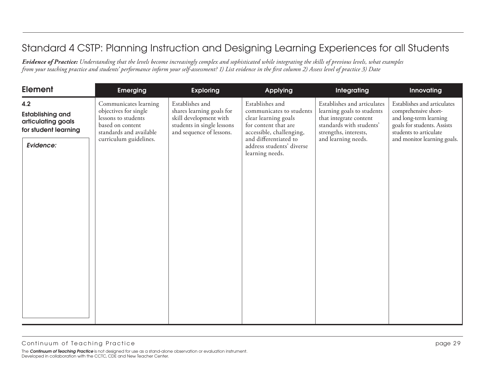| <b>Element</b>                                                                            | <b>Emerging</b>                                                                                                                                | <b>Exploring</b>                                                                                                                 | <b>Applying</b>                                                                                                                                                                                  | Integrating                                                                                                                                                     | Innovating                                                                                                                                                            |
|-------------------------------------------------------------------------------------------|------------------------------------------------------------------------------------------------------------------------------------------------|----------------------------------------------------------------------------------------------------------------------------------|--------------------------------------------------------------------------------------------------------------------------------------------------------------------------------------------------|-----------------------------------------------------------------------------------------------------------------------------------------------------------------|-----------------------------------------------------------------------------------------------------------------------------------------------------------------------|
| 4.2<br><b>Establishing and</b><br>articulating goals<br>for student learning<br>Evidence: | Communicates learning<br>objectives for single<br>lessons to students<br>based on content<br>standards and available<br>curriculum guidelines. | Establishes and<br>shares learning goals for<br>skill development with<br>students in single lessons<br>and sequence of lessons. | Establishes and<br>communicates to students<br>clear learning goals<br>for content that are<br>accessible, challenging,<br>and differentiated to<br>address students' diverse<br>learning needs. | Establishes and articulates<br>learning goals to students<br>that integrate content<br>standards with students'<br>strengths, interests,<br>and learning needs. | Establishes and articulates<br>comprehensive short-<br>and long-term learning<br>goals for students. Assists<br>students to articulate<br>and monitor learning goals. |
|                                                                                           |                                                                                                                                                |                                                                                                                                  |                                                                                                                                                                                                  |                                                                                                                                                                 |                                                                                                                                                                       |
|                                                                                           |                                                                                                                                                |                                                                                                                                  |                                                                                                                                                                                                  |                                                                                                                                                                 |                                                                                                                                                                       |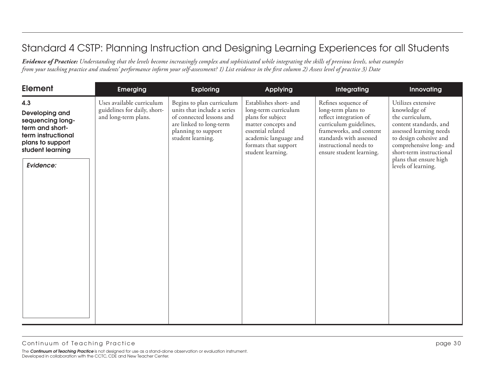| <b>Element</b>                                                                                                                          | <b>Emerging</b>                                                                   | <b>Exploring</b>                                                                                                                                            | <b>Applying</b>                                                                                                                                                                       | <b>Integrating</b>                                                                                                                                                                                        | Innovating                                                                                                                                                                                                                                   |
|-----------------------------------------------------------------------------------------------------------------------------------------|-----------------------------------------------------------------------------------|-------------------------------------------------------------------------------------------------------------------------------------------------------------|---------------------------------------------------------------------------------------------------------------------------------------------------------------------------------------|-----------------------------------------------------------------------------------------------------------------------------------------------------------------------------------------------------------|----------------------------------------------------------------------------------------------------------------------------------------------------------------------------------------------------------------------------------------------|
| 4.3<br>Developing and<br>sequencing long-<br>term and short-<br>term instructional<br>plans to support<br>student learning<br>Evidence: | Uses available curriculum<br>guidelines for daily, short-<br>and long-term plans. | Begins to plan curriculum<br>units that include a series<br>of connected lessons and<br>are linked to long-term<br>planning to support<br>student learning. | Establishes short- and<br>long-term curriculum<br>plans for subject<br>matter concepts and<br>essential related<br>academic language and<br>formats that support<br>student learning. | Refines sequence of<br>long-term plans to<br>reflect integration of<br>curriculum guidelines,<br>frameworks, and content<br>standards with assessed<br>instructional needs to<br>ensure student learning. | Utilizes extensive<br>knowledge of<br>the curriculum,<br>content standards, and<br>assessed learning needs<br>to design cohesive and<br>comprehensive long- and<br>short-term instructional<br>plans that ensure high<br>levels of learning. |
|                                                                                                                                         |                                                                                   |                                                                                                                                                             |                                                                                                                                                                                       |                                                                                                                                                                                                           |                                                                                                                                                                                                                                              |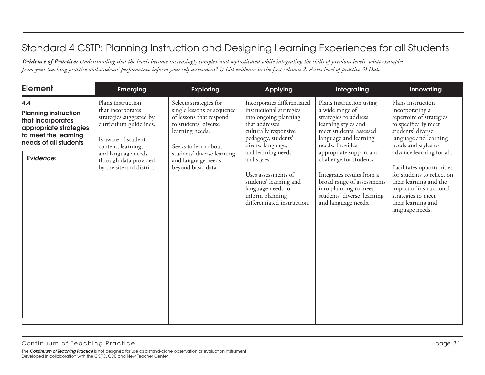| <b>Element</b>                                                                                                                                  | <b>Emerging</b>                                                                                                                                                                                                      | <b>Exploring</b>                                                                                                                                                                                                             | <b>Applying</b>                                                                                                                                                                                                                                                                                                                      | Integrating                                                                                                                                                                                                                                                                                                                                                      | Innovating                                                                                                                                                                                                                                                                                                                                                                |
|-------------------------------------------------------------------------------------------------------------------------------------------------|----------------------------------------------------------------------------------------------------------------------------------------------------------------------------------------------------------------------|------------------------------------------------------------------------------------------------------------------------------------------------------------------------------------------------------------------------------|--------------------------------------------------------------------------------------------------------------------------------------------------------------------------------------------------------------------------------------------------------------------------------------------------------------------------------------|------------------------------------------------------------------------------------------------------------------------------------------------------------------------------------------------------------------------------------------------------------------------------------------------------------------------------------------------------------------|---------------------------------------------------------------------------------------------------------------------------------------------------------------------------------------------------------------------------------------------------------------------------------------------------------------------------------------------------------------------------|
| 4.4<br><b>Planning instruction</b><br>that incorporates<br>appropriate strategies<br>to meet the learning<br>needs of all students<br>Evidence: | Plans instruction<br>that incorporates<br>strategies suggested by<br>curriculum guidelines.<br>Is aware of student<br>content, learning,<br>and language needs<br>through data provided<br>by the site and district. | Selects strategies for<br>single lessons or sequence<br>of lessons that respond<br>to students' diverse<br>learning needs.<br>Seeks to learn about<br>students' diverse learning<br>and language needs<br>beyond basic data. | Incorporates differentiated<br>instructional strategies<br>into ongoing planning<br>that addresses<br>culturally responsive<br>pedagogy, students'<br>diverse language,<br>and learning needs<br>and styles.<br>Uses assessments of<br>students' learning and<br>language needs to<br>inform planning<br>differentiated instruction. | Plans instruction using<br>a wide range of<br>strategies to address<br>learning styles and<br>meet students' assessed<br>language and learning<br>needs. Provides<br>appropriate support and<br>challenge for students.<br>Integrates results from a<br>broad range of assessments<br>into planning to meet<br>students' diverse learning<br>and language needs. | Plans instruction<br>incorporating a<br>repertoire of strategies<br>to specifically meet<br>students' diverse<br>language and learning<br>needs and styles to<br>advance learning for all.<br>Facilitates opportunities<br>for students to reflect on<br>their learning and the<br>impact of instructional<br>strategies to meet<br>their learning and<br>language needs. |